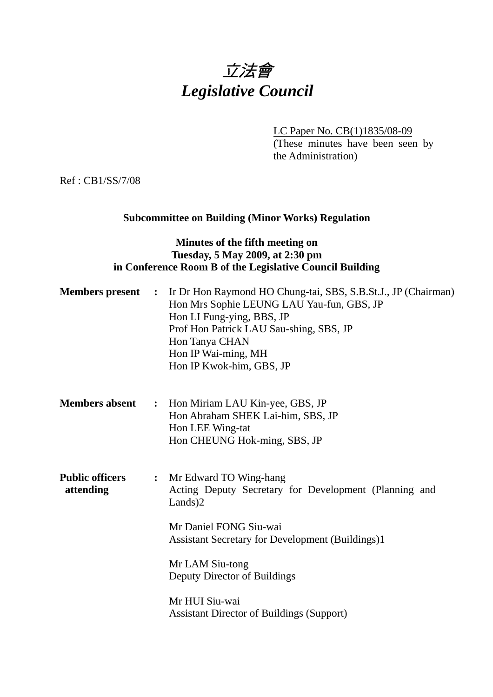# 立法會 *Legislative Council*

LC Paper No. CB(1)1835/08-09 (These minutes have been seen by the Administration)

Ref : CB1/SS/7/08

### **Subcommittee on Building (Minor Works) Regulation**

#### **Minutes of the fifth meeting on Tuesday, 5 May 2009, at 2:30 pm in Conference Room B of the Legislative Council Building**

|                                     |                | <b>Members present :</b> Ir Dr Hon Raymond HO Chung-tai, SBS, S.B.St.J., JP (Chairman)<br>Hon Mrs Sophie LEUNG LAU Yau-fun, GBS, JP<br>Hon LI Fung-ying, BBS, JP<br>Prof Hon Patrick LAU Sau-shing, SBS, JP<br>Hon Tanya CHAN<br>Hon IP Wai-ming, MH<br>Hon IP Kwok-him, GBS, JP                              |
|-------------------------------------|----------------|---------------------------------------------------------------------------------------------------------------------------------------------------------------------------------------------------------------------------------------------------------------------------------------------------------------|
| <b>Members absent</b>               | $\ddot{\cdot}$ | Hon Miriam LAU Kin-yee, GBS, JP<br>Hon Abraham SHEK Lai-him, SBS, JP<br>Hon LEE Wing-tat<br>Hon CHEUNG Hok-ming, SBS, JP                                                                                                                                                                                      |
| <b>Public officers</b><br>attending |                | : Mr Edward TO Wing-hang<br>Acting Deputy Secretary for Development (Planning and<br>$Lands$ )2<br>Mr Daniel FONG Siu-wai<br><b>Assistant Secretary for Development (Buildings)1</b><br>Mr LAM Siu-tong<br>Deputy Director of Buildings<br>Mr HUI Siu-wai<br><b>Assistant Director of Buildings (Support)</b> |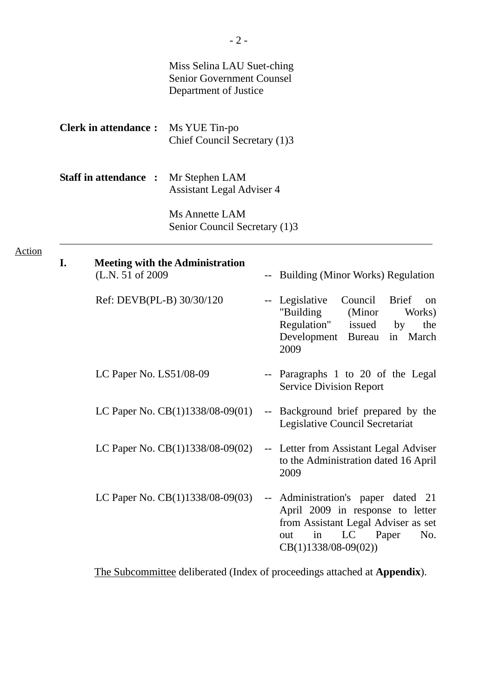|        |                             |                              | Miss Selina LAU Suet-ching<br><b>Senior Government Counsel</b><br>Department of Justice                      |      |                                                                                                                                                                         |
|--------|-----------------------------|------------------------------|--------------------------------------------------------------------------------------------------------------|------|-------------------------------------------------------------------------------------------------------------------------------------------------------------------------|
|        | <b>Clerk in attendance:</b> |                              | Ms YUE Tin-po<br>Chief Council Secretary (1)3                                                                |      |                                                                                                                                                                         |
|        |                             | <b>Staff in attendance :</b> | Mr Stephen LAM<br><b>Assistant Legal Adviser 4</b><br><b>Ms Annette LAM</b><br>Senior Council Secretary (1)3 |      |                                                                                                                                                                         |
| Action |                             |                              |                                                                                                              |      |                                                                                                                                                                         |
|        | I.                          | (L.N. 51 of 2009)            | <b>Meeting with the Administration</b>                                                                       |      | <b>Building (Minor Works) Regulation</b>                                                                                                                                |
|        |                             | Ref: DEVB(PL-B) 30/30/120    |                                                                                                              |      | Council<br>-- Legislative<br><b>Brief</b><br>on<br>"Building<br>(Minor<br>Works)<br>Regulation"<br>issued<br>the<br>by<br>Development Bureau in March<br>2009           |
|        |                             | LC Paper No. LS51/08-09      |                                                                                                              | $--$ | Paragraphs 1 to 20 of the Legal<br><b>Service Division Report</b>                                                                                                       |
|        |                             |                              | LC Paper No. $CB(1)1338/08-09(01)$                                                                           |      | -- Background brief prepared by the<br>Legislative Council Secretariat                                                                                                  |
|        |                             |                              | LC Paper No. CB(1)1338/08-09(02)                                                                             |      | Letter from Assistant Legal Adviser<br>to the Administration dated 16 April<br>2009                                                                                     |
|        |                             |                              | LC Paper No. CB(1)1338/08-09(03)                                                                             |      | Administration's paper dated 21<br>April 2009 in response to letter<br>from Assistant Legal Adviser as set<br>LC<br>in<br>Paper<br>No.<br>out<br>$CB(1)1338/08-09(02))$ |

The Subcommittee deliberated (Index of proceedings attached at **Appendix**).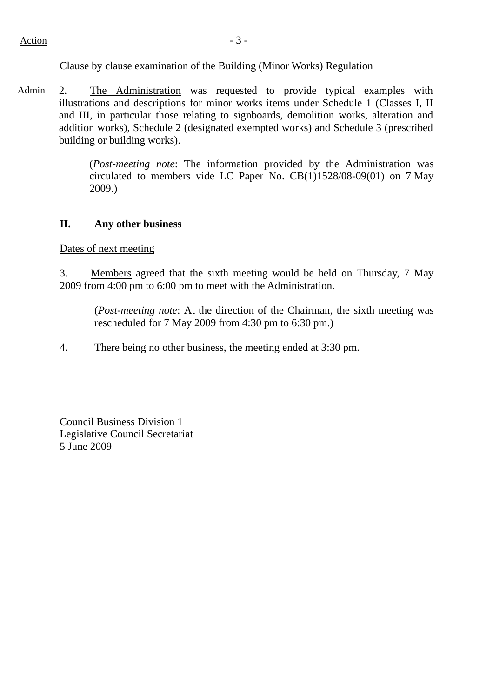#### Clause by clause examination of the Building (Minor Works) Regulation

Admin 2. The Administration was requested to provide typical examples with illustrations and descriptions for minor works items under Schedule 1 (Classes I, II and III, in particular those relating to signboards, demolition works, alteration and addition works), Schedule 2 (designated exempted works) and Schedule 3 (prescribed building or building works).

> (*Post-meeting note*: The information provided by the Administration was circulated to members vide LC Paper No. CB(1)1528/08-09(01) on 7 May 2009.)

#### **II. Any other business**

Dates of next meeting

3. Members agreed that the sixth meeting would be held on Thursday, 7 May 2009 from 4:00 pm to 6:00 pm to meet with the Administration.

(*Post-meeting note*: At the direction of the Chairman, the sixth meeting was rescheduled for 7 May 2009 from 4:30 pm to 6:30 pm.)

4. There being no other business, the meeting ended at 3:30 pm.

Council Business Division 1 Legislative Council Secretariat 5 June 2009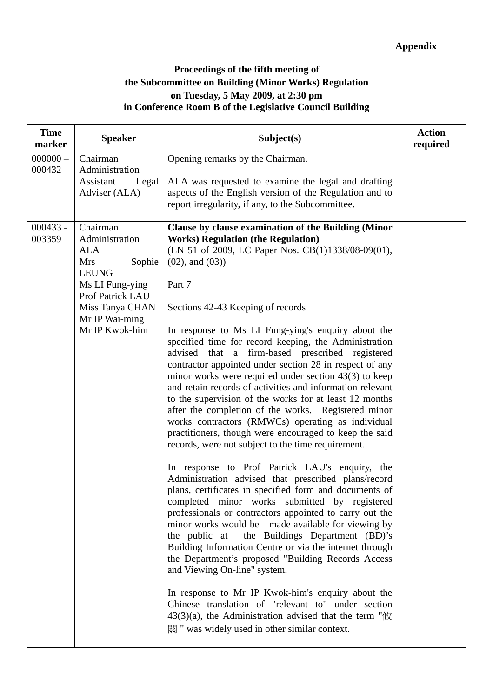## **Proceedings of the fifth meeting of the Subcommittee on Building (Minor Works) Regulation on Tuesday, 5 May 2009, at 2:30 pm in Conference Room B of the Legislative Council Building**

| <b>Time</b><br>marker | <b>Speaker</b>                                                                                                                                                          | Subject(s)                                                                                                                                                                                                                                                                                                                                                                                                                                                                                                                                                                                                                                                                                                                                                                                                                                                                                                                                                                                                                                                                                                                                                                                                                                                                                                                                                                                                                                                                                                                                                                                                                                            | <b>Action</b><br>required |
|-----------------------|-------------------------------------------------------------------------------------------------------------------------------------------------------------------------|-------------------------------------------------------------------------------------------------------------------------------------------------------------------------------------------------------------------------------------------------------------------------------------------------------------------------------------------------------------------------------------------------------------------------------------------------------------------------------------------------------------------------------------------------------------------------------------------------------------------------------------------------------------------------------------------------------------------------------------------------------------------------------------------------------------------------------------------------------------------------------------------------------------------------------------------------------------------------------------------------------------------------------------------------------------------------------------------------------------------------------------------------------------------------------------------------------------------------------------------------------------------------------------------------------------------------------------------------------------------------------------------------------------------------------------------------------------------------------------------------------------------------------------------------------------------------------------------------------------------------------------------------------|---------------------------|
| $000000 -$<br>000432  | Chairman<br>Administration<br>Assistant<br>Legal<br>Adviser (ALA)                                                                                                       | Opening remarks by the Chairman.<br>ALA was requested to examine the legal and drafting<br>aspects of the English version of the Regulation and to<br>report irregularity, if any, to the Subcommittee.                                                                                                                                                                                                                                                                                                                                                                                                                                                                                                                                                                                                                                                                                                                                                                                                                                                                                                                                                                                                                                                                                                                                                                                                                                                                                                                                                                                                                                               |                           |
| $000433 -$<br>003359  | Chairman<br>Administration<br>ALA<br><b>Mrs</b><br>Sophie<br><b>LEUNG</b><br>Ms LI Fung-ying<br>Prof Patrick LAU<br>Miss Tanya CHAN<br>Mr IP Wai-ming<br>Mr IP Kwok-him | Clause by clause examination of the Building (Minor<br><b>Works) Regulation (the Regulation)</b><br>(LN 51 of 2009, LC Paper Nos. CB(1)1338/08-09(01),<br>$(02)$ , and $(03)$ )<br>Part 7<br>Sections 42-43 Keeping of records<br>In response to Ms LI Fung-ying's enquiry about the<br>specified time for record keeping, the Administration<br>advised that a firm-based prescribed registered<br>contractor appointed under section 28 in respect of any<br>minor works were required under section $43(3)$ to keep<br>and retain records of activities and information relevant<br>to the supervision of the works for at least 12 months<br>after the completion of the works. Registered minor<br>works contractors (RMWCs) operating as individual<br>practitioners, though were encouraged to keep the said<br>records, were not subject to the time requirement.<br>In response to Prof Patrick LAU's enquiry, the<br>Administration advised that prescribed plans/record<br>plans, certificates in specified form and documents of<br>completed minor works submitted by registered<br>professionals or contractors appointed to carry out the<br>minor works would be made available for viewing by<br>the public at the Buildings Department (BD)'s<br>Building Information Centre or via the internet through<br>the Department's proposed "Building Records Access<br>and Viewing On-line" system.<br>In response to Mr IP Kwok-him's enquiry about the<br>Chinese translation of "relevant to" under section<br>$43(3)(a)$ , the Administration advised that the term " $\frac{1}{2}$<br>關 " was widely used in other similar context. |                           |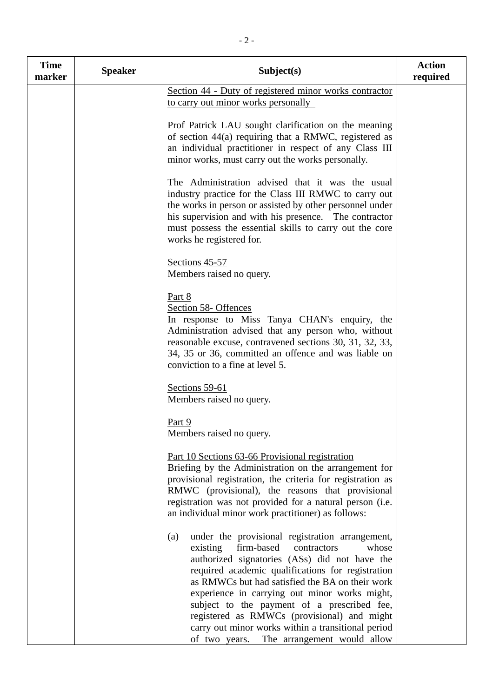| <b>Time</b><br>marker | <b>Speaker</b> | Subject(s)                                                                                                                                                                                                                                                                                                                                                                                                       | <b>Action</b><br>required |
|-----------------------|----------------|------------------------------------------------------------------------------------------------------------------------------------------------------------------------------------------------------------------------------------------------------------------------------------------------------------------------------------------------------------------------------------------------------------------|---------------------------|
|                       |                | Section 44 - Duty of registered minor works contractor<br>to carry out minor works personally                                                                                                                                                                                                                                                                                                                    |                           |
|                       |                | Prof Patrick LAU sought clarification on the meaning<br>of section 44(a) requiring that a RMWC, registered as<br>an individual practitioner in respect of any Class III<br>minor works, must carry out the works personally.                                                                                                                                                                                     |                           |
|                       |                | The Administration advised that it was the usual<br>industry practice for the Class III RMWC to carry out<br>the works in person or assisted by other personnel under<br>his supervision and with his presence. The contractor<br>must possess the essential skills to carry out the core<br>works he registered for.                                                                                            |                           |
|                       |                | Sections 45-57<br>Members raised no query.                                                                                                                                                                                                                                                                                                                                                                       |                           |
|                       |                | Part 8<br>Section 58- Offences<br>In response to Miss Tanya CHAN's enquiry, the<br>Administration advised that any person who, without<br>reasonable excuse, contravened sections 30, 31, 32, 33,<br>34, 35 or 36, committed an offence and was liable on<br>conviction to a fine at level 5.                                                                                                                    |                           |
|                       |                | Sections 59-61<br>Members raised no query.                                                                                                                                                                                                                                                                                                                                                                       |                           |
|                       |                | Part 9<br>Members raised no query.                                                                                                                                                                                                                                                                                                                                                                               |                           |
|                       |                | Part 10 Sections 63-66 Provisional registration<br>Briefing by the Administration on the arrangement for<br>provisional registration, the criteria for registration as<br>RMWC (provisional), the reasons that provisional<br>registration was not provided for a natural person (i.e.<br>an individual minor work practitioner) as follows:                                                                     |                           |
|                       |                | under the provisional registration arrangement,<br>(a)<br>firm-based<br>existing<br>whose<br>contractors<br>authorized signatories (ASs) did not have the<br>required academic qualifications for registration<br>as RMWCs but had satisfied the BA on their work<br>experience in carrying out minor works might,<br>subject to the payment of a prescribed fee,<br>registered as RMWCs (provisional) and might |                           |
|                       |                | carry out minor works within a transitional period<br>of two years.<br>The arrangement would allow                                                                                                                                                                                                                                                                                                               |                           |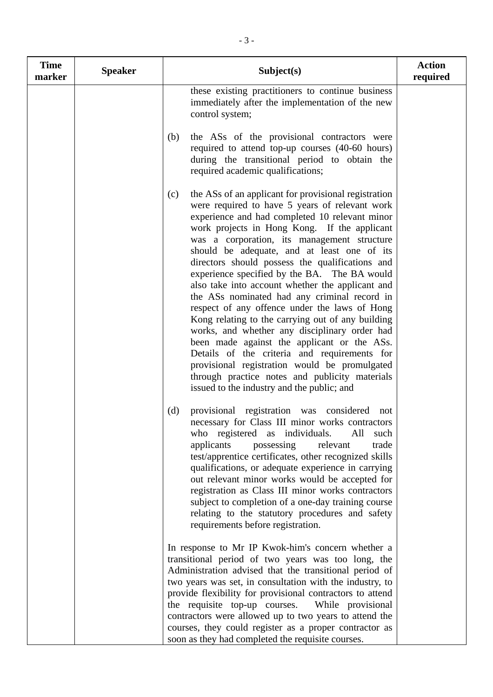| <b>Time</b><br>marker | <b>Speaker</b> | Subject(s)                                                                                                                                                                                                                                                                                                                                                                                                                                                                                                                                                                                                                                                                                                                                                                                                                                                                                                                  | <b>Action</b><br>required |
|-----------------------|----------------|-----------------------------------------------------------------------------------------------------------------------------------------------------------------------------------------------------------------------------------------------------------------------------------------------------------------------------------------------------------------------------------------------------------------------------------------------------------------------------------------------------------------------------------------------------------------------------------------------------------------------------------------------------------------------------------------------------------------------------------------------------------------------------------------------------------------------------------------------------------------------------------------------------------------------------|---------------------------|
|                       |                | these existing practitioners to continue business<br>immediately after the implementation of the new<br>control system;                                                                                                                                                                                                                                                                                                                                                                                                                                                                                                                                                                                                                                                                                                                                                                                                     |                           |
|                       |                | the ASs of the provisional contractors were<br>(b)<br>required to attend top-up courses (40-60 hours)<br>during the transitional period to obtain the<br>required academic qualifications;                                                                                                                                                                                                                                                                                                                                                                                                                                                                                                                                                                                                                                                                                                                                  |                           |
|                       |                | the ASs of an applicant for provisional registration<br>(c)<br>were required to have 5 years of relevant work<br>experience and had completed 10 relevant minor<br>work projects in Hong Kong. If the applicant<br>was a corporation, its management structure<br>should be adequate, and at least one of its<br>directors should possess the qualifications and<br>experience specified by the BA. The BA would<br>also take into account whether the applicant and<br>the ASs nominated had any criminal record in<br>respect of any offence under the laws of Hong<br>Kong relating to the carrying out of any building<br>works, and whether any disciplinary order had<br>been made against the applicant or the ASs.<br>Details of the criteria and requirements for<br>provisional registration would be promulgated<br>through practice notes and publicity materials<br>issued to the industry and the public; and |                           |
|                       |                | provisional registration was considered<br>(d)<br>not<br>necessary for Class III minor works contractors<br>who registered as individuals.<br>All<br>such<br>applicants<br>possessing<br>relevant<br>trade<br>test/apprentice certificates, other recognized skills<br>qualifications, or adequate experience in carrying<br>out relevant minor works would be accepted for<br>registration as Class III minor works contractors<br>subject to completion of a one-day training course<br>relating to the statutory procedures and safety<br>requirements before registration.                                                                                                                                                                                                                                                                                                                                              |                           |
|                       |                | In response to Mr IP Kwok-him's concern whether a<br>transitional period of two years was too long, the<br>Administration advised that the transitional period of<br>two years was set, in consultation with the industry, to<br>provide flexibility for provisional contractors to attend<br>the requisite top-up courses.<br>While provisional<br>contractors were allowed up to two years to attend the<br>courses, they could register as a proper contractor as<br>soon as they had completed the requisite courses.                                                                                                                                                                                                                                                                                                                                                                                                   |                           |